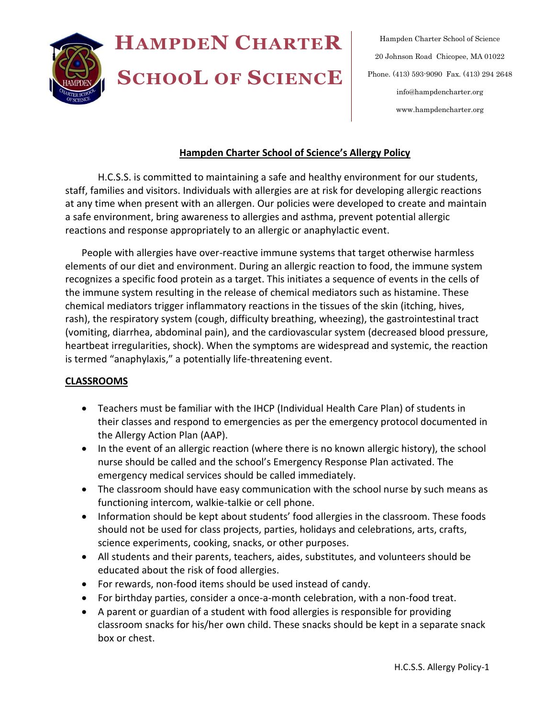

Hampden Charter School of Science 20 Johnson Road Chicopee, MA 01022 Phone. (413) 593-9090 Fax. (413) 294 2648 info@hampdencharter.org www.hampdencharter.org

#### **Hampden Charter School of Science's Allergy Policy**

H.C.S.S. is committed to maintaining a safe and healthy environment for our students, staff, families and visitors. Individuals with allergies are at risk for developing allergic reactions at any time when present with an allergen. Our policies were developed to create and maintain a safe environment, bring awareness to allergies and asthma, prevent potential allergic reactions and response appropriately to an allergic or anaphylactic event.

People with allergies have over-reactive immune systems that target otherwise harmless elements of our diet and environment. During an allergic reaction to food, the immune system recognizes a specific food protein as a target. This initiates a sequence of events in the cells of the immune system resulting in the release of chemical mediators such as histamine. These chemical mediators trigger inflammatory reactions in the tissues of the skin (itching, hives, rash), the respiratory system (cough, difficulty breathing, wheezing), the gastrointestinal tract (vomiting, diarrhea, abdominal pain), and the cardiovascular system (decreased blood pressure, heartbeat irregularities, shock). When the symptoms are widespread and systemic, the reaction is termed "anaphylaxis," a potentially life-threatening event.

#### **CLASSROOMS**

- Teachers must be familiar with the IHCP (Individual Health Care Plan) of students in their classes and respond to emergencies as per the emergency protocol documented in the Allergy Action Plan (AAP).
- In the event of an allergic reaction (where there is no known allergic history), the school nurse should be called and the school's Emergency Response Plan activated. The emergency medical services should be called immediately.
- The classroom should have easy communication with the school nurse by such means as functioning intercom, walkie-talkie or cell phone.
- Information should be kept about students' food allergies in the classroom. These foods should not be used for class projects, parties, holidays and celebrations, arts, crafts, science experiments, cooking, snacks, or other purposes.
- All students and their parents, teachers, aides, substitutes, and volunteers should be educated about the risk of food allergies.
- For rewards, non-food items should be used instead of candy.
- For birthday parties, consider a once-a-month celebration, with a non-food treat.
- A parent or guardian of a student with food allergies is responsible for providing classroom snacks for his/her own child. These snacks should be kept in a separate snack box or chest.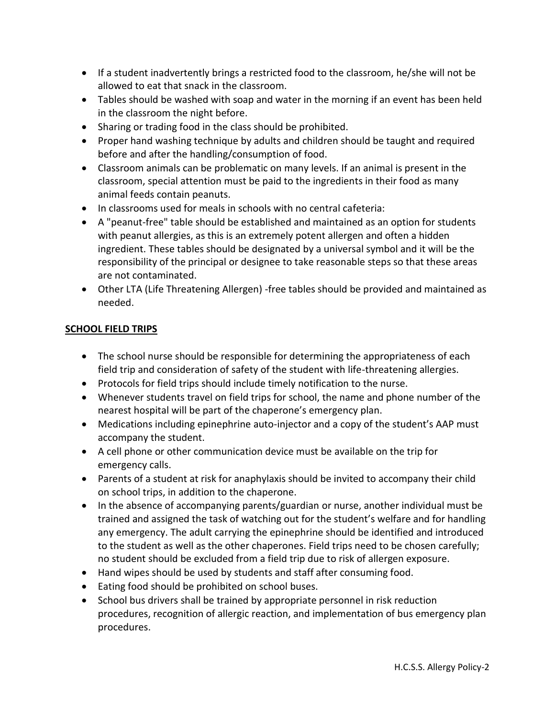- If a student inadvertently brings a restricted food to the classroom, he/she will not be allowed to eat that snack in the classroom.
- Tables should be washed with soap and water in the morning if an event has been held in the classroom the night before.
- Sharing or trading food in the class should be prohibited.
- Proper hand washing technique by adults and children should be taught and required before and after the handling/consumption of food.
- Classroom animals can be problematic on many levels. If an animal is present in the classroom, special attention must be paid to the ingredients in their food as many animal feeds contain peanuts.
- In classrooms used for meals in schools with no central cafeteria:
- A "peanut-free" table should be established and maintained as an option for students with peanut allergies, as this is an extremely potent allergen and often a hidden ingredient. These tables should be designated by a universal symbol and it will be the responsibility of the principal or designee to take reasonable steps so that these areas are not contaminated.
- Other LTA (Life Threatening Allergen) -free tables should be provided and maintained as needed.

## **SCHOOL FIELD TRIPS**

- The school nurse should be responsible for determining the appropriateness of each field trip and consideration of safety of the student with life-threatening allergies.
- Protocols for field trips should include timely notification to the nurse.
- Whenever students travel on field trips for school, the name and phone number of the nearest hospital will be part of the chaperone's emergency plan.
- Medications including epinephrine auto-injector and a copy of the student's AAP must accompany the student.
- A cell phone or other communication device must be available on the trip for emergency calls.
- Parents of a student at risk for anaphylaxis should be invited to accompany their child on school trips, in addition to the chaperone.
- In the absence of accompanying parents/guardian or nurse, another individual must be trained and assigned the task of watching out for the student's welfare and for handling any emergency. The adult carrying the epinephrine should be identified and introduced to the student as well as the other chaperones. Field trips need to be chosen carefully; no student should be excluded from a field trip due to risk of allergen exposure.
- Hand wipes should be used by students and staff after consuming food.
- Eating food should be prohibited on school buses.
- School bus drivers shall be trained by appropriate personnel in risk reduction procedures, recognition of allergic reaction, and implementation of bus emergency plan procedures.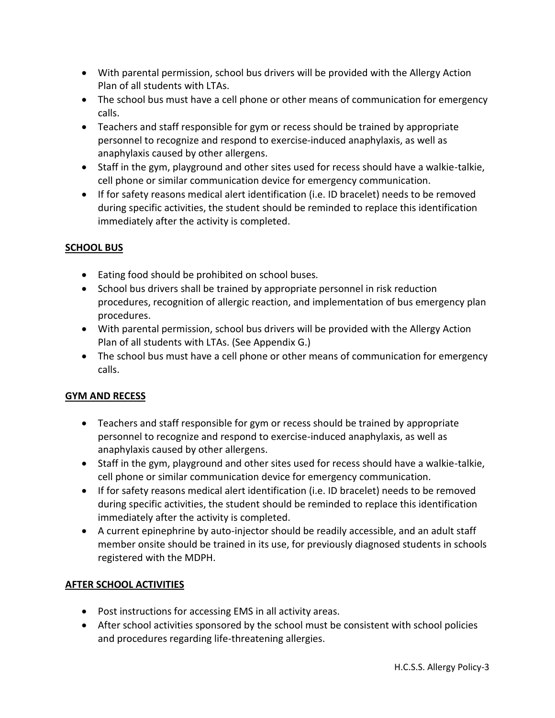- With parental permission, school bus drivers will be provided with the Allergy Action Plan of all students with LTAs.
- The school bus must have a cell phone or other means of communication for emergency calls.
- Teachers and staff responsible for gym or recess should be trained by appropriate personnel to recognize and respond to exercise-induced anaphylaxis, as well as anaphylaxis caused by other allergens.
- Staff in the gym, playground and other sites used for recess should have a walkie-talkie, cell phone or similar communication device for emergency communication.
- If for safety reasons medical alert identification (i.e. ID bracelet) needs to be removed during specific activities, the student should be reminded to replace this identification immediately after the activity is completed.

## **SCHOOL BUS**

- Eating food should be prohibited on school buses.
- School bus drivers shall be trained by appropriate personnel in risk reduction procedures, recognition of allergic reaction, and implementation of bus emergency plan procedures.
- With parental permission, school bus drivers will be provided with the Allergy Action Plan of all students with LTAs. (See Appendix G.)
- The school bus must have a cell phone or other means of communication for emergency calls.

## **GYM AND RECESS**

- Teachers and staff responsible for gym or recess should be trained by appropriate personnel to recognize and respond to exercise-induced anaphylaxis, as well as anaphylaxis caused by other allergens.
- Staff in the gym, playground and other sites used for recess should have a walkie-talkie, cell phone or similar communication device for emergency communication.
- If for safety reasons medical alert identification (i.e. ID bracelet) needs to be removed during specific activities, the student should be reminded to replace this identification immediately after the activity is completed.
- A current epinephrine by auto-injector should be readily accessible, and an adult staff member onsite should be trained in its use, for previously diagnosed students in schools registered with the MDPH.

## **AFTER SCHOOL ACTIVITIES**

- Post instructions for accessing EMS in all activity areas.
- After school activities sponsored by the school must be consistent with school policies and procedures regarding life-threatening allergies.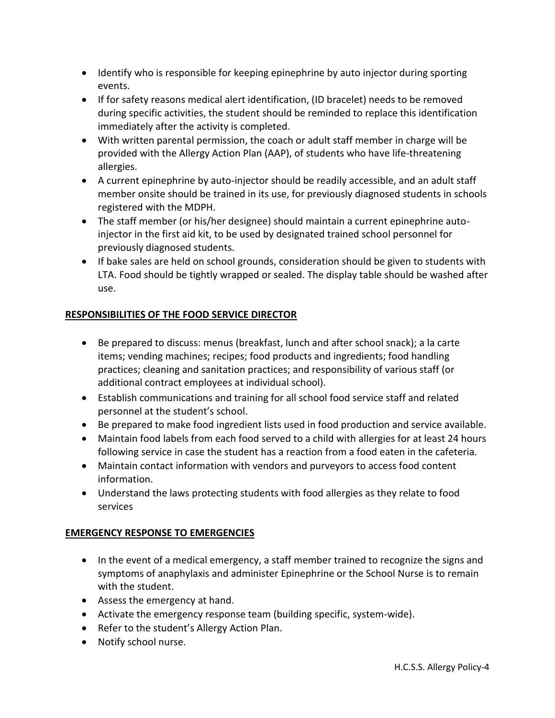- Identify who is responsible for keeping epinephrine by auto injector during sporting events.
- If for safety reasons medical alert identification, (ID bracelet) needs to be removed during specific activities, the student should be reminded to replace this identification immediately after the activity is completed.
- With written parental permission, the coach or adult staff member in charge will be provided with the Allergy Action Plan (AAP), of students who have life-threatening allergies.
- A current epinephrine by auto-injector should be readily accessible, and an adult staff member onsite should be trained in its use, for previously diagnosed students in schools registered with the MDPH.
- The staff member (or his/her designee) should maintain a current epinephrine autoinjector in the first aid kit, to be used by designated trained school personnel for previously diagnosed students.
- If bake sales are held on school grounds, consideration should be given to students with LTA. Food should be tightly wrapped or sealed. The display table should be washed after use.

# **RESPONSIBILITIES OF THE FOOD SERVICE DIRECTOR**

- Be prepared to discuss: menus (breakfast, lunch and after school snack); a la carte items; vending machines; recipes; food products and ingredients; food handling practices; cleaning and sanitation practices; and responsibility of various staff (or additional contract employees at individual school).
- Establish communications and training for all school food service staff and related personnel at the student's school.
- Be prepared to make food ingredient lists used in food production and service available.
- Maintain food labels from each food served to a child with allergies for at least 24 hours following service in case the student has a reaction from a food eaten in the cafeteria.
- Maintain contact information with vendors and purveyors to access food content information.
- Understand the laws protecting students with food allergies as they relate to food services

## **EMERGENCY RESPONSE TO EMERGENCIES**

- In the event of a medical emergency, a staff member trained to recognize the signs and symptoms of anaphylaxis and administer Epinephrine or the School Nurse is to remain with the student.
- Assess the emergency at hand.
- Activate the emergency response team (building specific, system-wide).
- Refer to the student's Allergy Action Plan.
- Notify school nurse.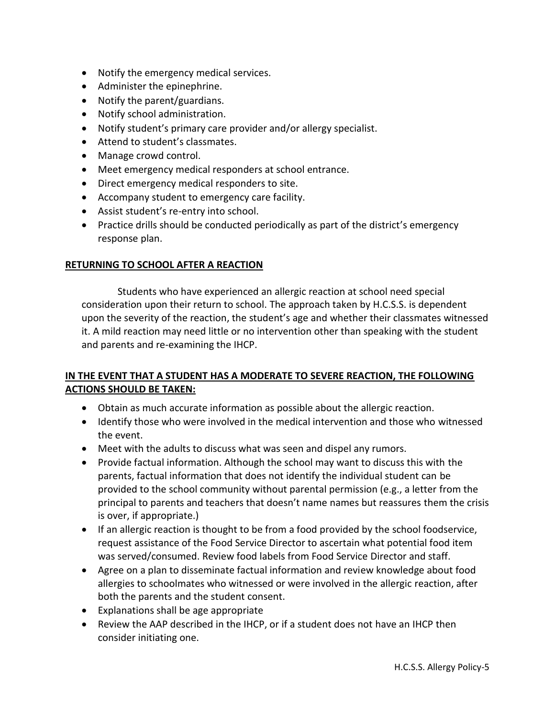- Notify the emergency medical services.
- Administer the epinephrine.
- Notify the parent/guardians.
- Notify school administration.
- Notify student's primary care provider and/or allergy specialist.
- Attend to student's classmates.
- Manage crowd control.
- Meet emergency medical responders at school entrance.
- Direct emergency medical responders to site.
- Accompany student to emergency care facility.
- Assist student's re-entry into school.
- Practice drills should be conducted periodically as part of the district's emergency response plan.

#### **RETURNING TO SCHOOL AFTER A REACTION**

 Students who have experienced an allergic reaction at school need special consideration upon their return to school. The approach taken by H.C.S.S. is dependent upon the severity of the reaction, the student's age and whether their classmates witnessed it. A mild reaction may need little or no intervention other than speaking with the student and parents and re-examining the IHCP.

#### **IN THE EVENT THAT A STUDENT HAS A MODERATE TO SEVERE REACTION, THE FOLLOWING ACTIONS SHOULD BE TAKEN:**

- Obtain as much accurate information as possible about the allergic reaction.
- Identify those who were involved in the medical intervention and those who witnessed the event.
- Meet with the adults to discuss what was seen and dispel any rumors.
- Provide factual information. Although the school may want to discuss this with the parents, factual information that does not identify the individual student can be provided to the school community without parental permission (e.g., a letter from the principal to parents and teachers that doesn't name names but reassures them the crisis is over, if appropriate.)
- If an allergic reaction is thought to be from a food provided by the school foodservice, request assistance of the Food Service Director to ascertain what potential food item was served/consumed. Review food labels from Food Service Director and staff.
- Agree on a plan to disseminate factual information and review knowledge about food allergies to schoolmates who witnessed or were involved in the allergic reaction, after both the parents and the student consent.
- Explanations shall be age appropriate
- Review the AAP described in the IHCP, or if a student does not have an IHCP then consider initiating one.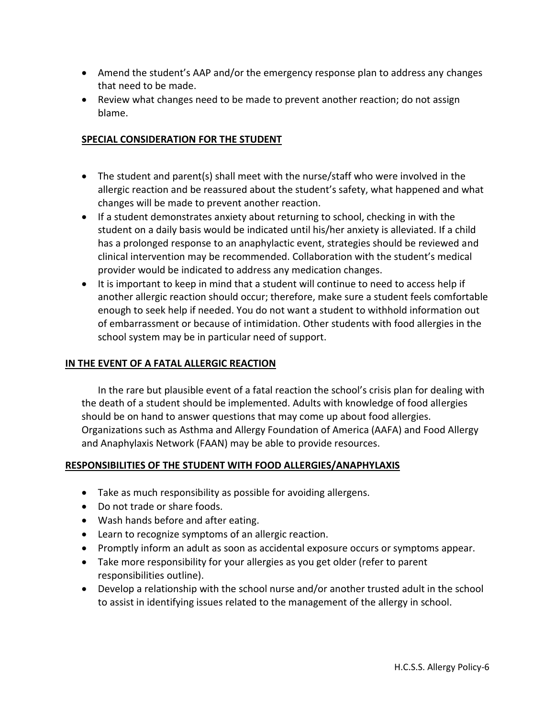- Amend the student's AAP and/or the emergency response plan to address any changes that need to be made.
- Review what changes need to be made to prevent another reaction; do not assign blame.

## **SPECIAL CONSIDERATION FOR THE STUDENT**

- The student and parent(s) shall meet with the nurse/staff who were involved in the allergic reaction and be reassured about the student's safety, what happened and what changes will be made to prevent another reaction.
- If a student demonstrates anxiety about returning to school, checking in with the student on a daily basis would be indicated until his/her anxiety is alleviated. If a child has a prolonged response to an anaphylactic event, strategies should be reviewed and clinical intervention may be recommended. Collaboration with the student's medical provider would be indicated to address any medication changes.
- It is important to keep in mind that a student will continue to need to access help if another allergic reaction should occur; therefore, make sure a student feels comfortable enough to seek help if needed. You do not want a student to withhold information out of embarrassment or because of intimidation. Other students with food allergies in the school system may be in particular need of support.

## **IN THE EVENT OF A FATAL ALLERGIC REACTION**

In the rare but plausible event of a fatal reaction the school's crisis plan for dealing with the death of a student should be implemented. Adults with knowledge of food allergies should be on hand to answer questions that may come up about food allergies. Organizations such as Asthma and Allergy Foundation of America (AAFA) and Food Allergy and Anaphylaxis Network (FAAN) may be able to provide resources.

## **RESPONSIBILITIES OF THE STUDENT WITH FOOD ALLERGIES/ANAPHYLAXIS**

- Take as much responsibility as possible for avoiding allergens.
- Do not trade or share foods.
- Wash hands before and after eating.
- Learn to recognize symptoms of an allergic reaction.
- Promptly inform an adult as soon as accidental exposure occurs or symptoms appear.
- Take more responsibility for your allergies as you get older (refer to parent responsibilities outline).
- Develop a relationship with the school nurse and/or another trusted adult in the school to assist in identifying issues related to the management of the allergy in school.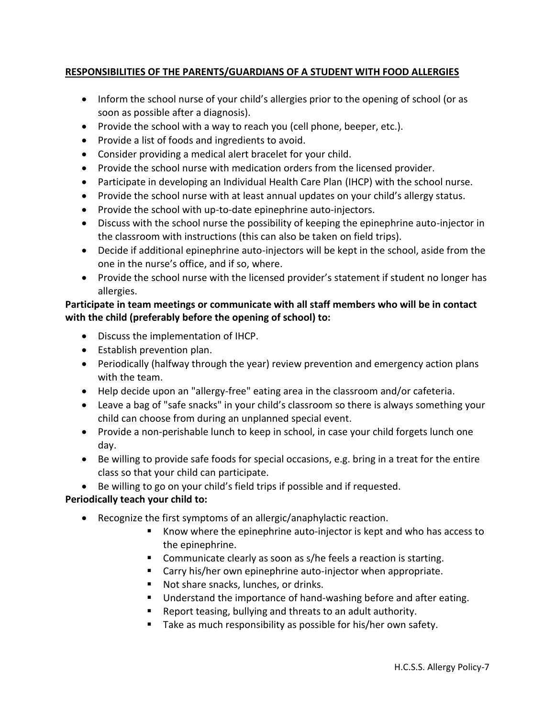## **RESPONSIBILITIES OF THE PARENTS/GUARDIANS OF A STUDENT WITH FOOD ALLERGIES**

- Inform the school nurse of your child's allergies prior to the opening of school (or as soon as possible after a diagnosis).
- Provide the school with a way to reach you (cell phone, beeper, etc.).
- Provide a list of foods and ingredients to avoid.
- Consider providing a medical alert bracelet for your child.
- Provide the school nurse with medication orders from the licensed provider.
- Participate in developing an Individual Health Care Plan (IHCP) with the school nurse.
- Provide the school nurse with at least annual updates on your child's allergy status.
- Provide the school with up-to-date epinephrine auto-injectors.
- Discuss with the school nurse the possibility of keeping the epinephrine auto-injector in the classroom with instructions (this can also be taken on field trips).
- Decide if additional epinephrine auto-injectors will be kept in the school, aside from the one in the nurse's office, and if so, where.
- Provide the school nurse with the licensed provider's statement if student no longer has allergies.

## **Participate in team meetings or communicate with all staff members who will be in contact with the child (preferably before the opening of school) to:**

- Discuss the implementation of IHCP.
- **•** Establish prevention plan.
- Periodically (halfway through the year) review prevention and emergency action plans with the team.
- Help decide upon an "allergy-free" eating area in the classroom and/or cafeteria.
- Leave a bag of "safe snacks" in your child's classroom so there is always something your child can choose from during an unplanned special event.
- Provide a non-perishable lunch to keep in school, in case your child forgets lunch one day.
- Be willing to provide safe foods for special occasions, e.g. bring in a treat for the entire class so that your child can participate.
- Be willing to go on your child's field trips if possible and if requested.

## **Periodically teach your child to:**

- Recognize the first symptoms of an allergic/anaphylactic reaction.
	- Know where the epinephrine auto-injector is kept and who has access to the epinephrine.
	- **Communicate clearly as soon as s/he feels a reaction is starting.**
	- Carry his/her own epinephrine auto-injector when appropriate.
	- Not share snacks, lunches, or drinks.
	- **Understand the importance of hand-washing before and after eating.**
	- Report teasing, bullying and threats to an adult authority.
	- Take as much responsibility as possible for his/her own safety.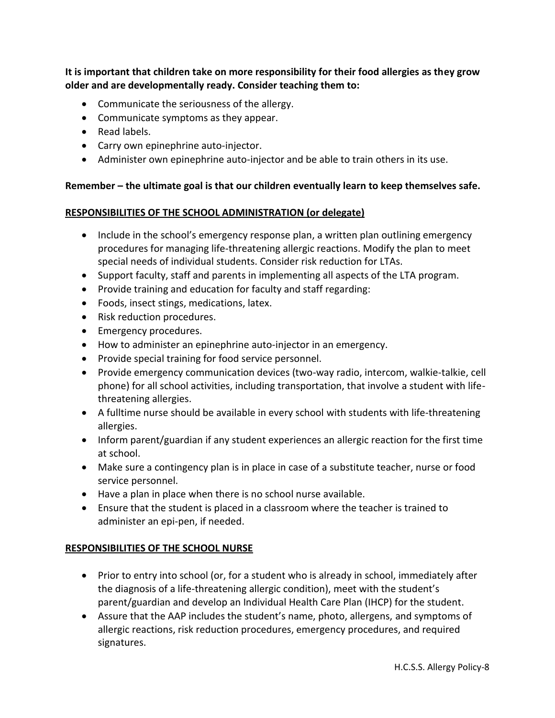**It is important that children take on more responsibility for their food allergies as they grow older and are developmentally ready. Consider teaching them to:** 

- Communicate the seriousness of the allergy.
- Communicate symptoms as they appear.
- Read labels.
- Carry own epinephrine auto-injector.
- Administer own epinephrine auto-injector and be able to train others in its use.

#### **Remember – the ultimate goal is that our children eventually learn to keep themselves safe.**

#### **RESPONSIBILITIES OF THE SCHOOL ADMINISTRATION (or delegate)**

- Include in the school's emergency response plan, a written plan outlining emergency procedures for managing life-threatening allergic reactions. Modify the plan to meet special needs of individual students. Consider risk reduction for LTAs.
- Support faculty, staff and parents in implementing all aspects of the LTA program.
- Provide training and education for faculty and staff regarding:
- Foods, insect stings, medications, latex.
- Risk reduction procedures.
- Emergency procedures.
- How to administer an epinephrine auto-injector in an emergency.
- Provide special training for food service personnel.
- Provide emergency communication devices (two-way radio, intercom, walkie-talkie, cell phone) for all school activities, including transportation, that involve a student with lifethreatening allergies.
- A fulltime nurse should be available in every school with students with life-threatening allergies.
- Inform parent/guardian if any student experiences an allergic reaction for the first time at school.
- Make sure a contingency plan is in place in case of a substitute teacher, nurse or food service personnel.
- Have a plan in place when there is no school nurse available.
- Ensure that the student is placed in a classroom where the teacher is trained to administer an epi-pen, if needed.

## **RESPONSIBILITIES OF THE SCHOOL NURSE**

- Prior to entry into school (or, for a student who is already in school, immediately after the diagnosis of a life-threatening allergic condition), meet with the student's parent/guardian and develop an Individual Health Care Plan (IHCP) for the student.
- Assure that the AAP includes the student's name, photo, allergens, and symptoms of allergic reactions, risk reduction procedures, emergency procedures, and required signatures.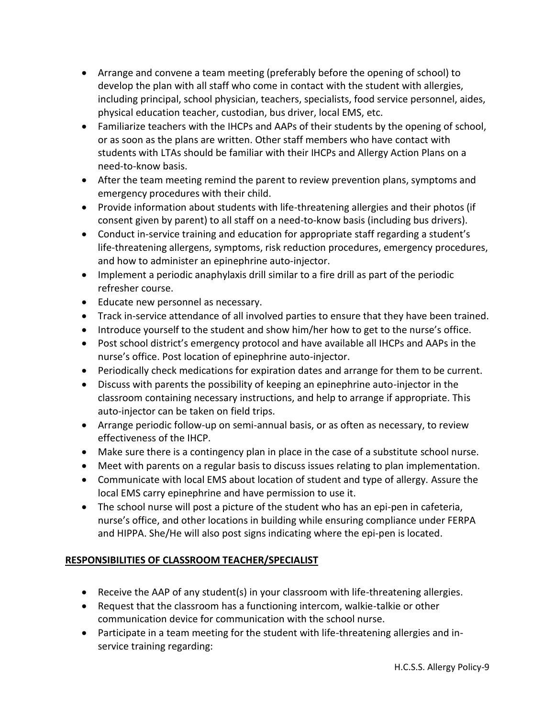- Arrange and convene a team meeting (preferably before the opening of school) to develop the plan with all staff who come in contact with the student with allergies, including principal, school physician, teachers, specialists, food service personnel, aides, physical education teacher, custodian, bus driver, local EMS, etc.
- Familiarize teachers with the IHCPs and AAPs of their students by the opening of school, or as soon as the plans are written. Other staff members who have contact with students with LTAs should be familiar with their IHCPs and Allergy Action Plans on a need-to-know basis.
- After the team meeting remind the parent to review prevention plans, symptoms and emergency procedures with their child.
- Provide information about students with life-threatening allergies and their photos (if consent given by parent) to all staff on a need-to-know basis (including bus drivers).
- Conduct in-service training and education for appropriate staff regarding a student's life-threatening allergens, symptoms, risk reduction procedures, emergency procedures, and how to administer an epinephrine auto-injector.
- Implement a periodic anaphylaxis drill similar to a fire drill as part of the periodic refresher course.
- Educate new personnel as necessary.
- Track in-service attendance of all involved parties to ensure that they have been trained.
- Introduce yourself to the student and show him/her how to get to the nurse's office.
- Post school district's emergency protocol and have available all IHCPs and AAPs in the nurse's office. Post location of epinephrine auto-injector.
- Periodically check medications for expiration dates and arrange for them to be current.
- Discuss with parents the possibility of keeping an epinephrine auto-injector in the classroom containing necessary instructions, and help to arrange if appropriate. This auto-injector can be taken on field trips.
- Arrange periodic follow-up on semi-annual basis, or as often as necessary, to review effectiveness of the IHCP.
- Make sure there is a contingency plan in place in the case of a substitute school nurse.
- Meet with parents on a regular basis to discuss issues relating to plan implementation.
- Communicate with local EMS about location of student and type of allergy. Assure the local EMS carry epinephrine and have permission to use it.
- The school nurse will post a picture of the student who has an epi-pen in cafeteria, nurse's office, and other locations in building while ensuring compliance under FERPA and HIPPA. She/He will also post signs indicating where the epi-pen is located.

# **RESPONSIBILITIES OF CLASSROOM TEACHER/SPECIALIST**

- Receive the AAP of any student(s) in your classroom with life-threatening allergies.
- Request that the classroom has a functioning intercom, walkie-talkie or other communication device for communication with the school nurse.
- Participate in a team meeting for the student with life-threatening allergies and inservice training regarding: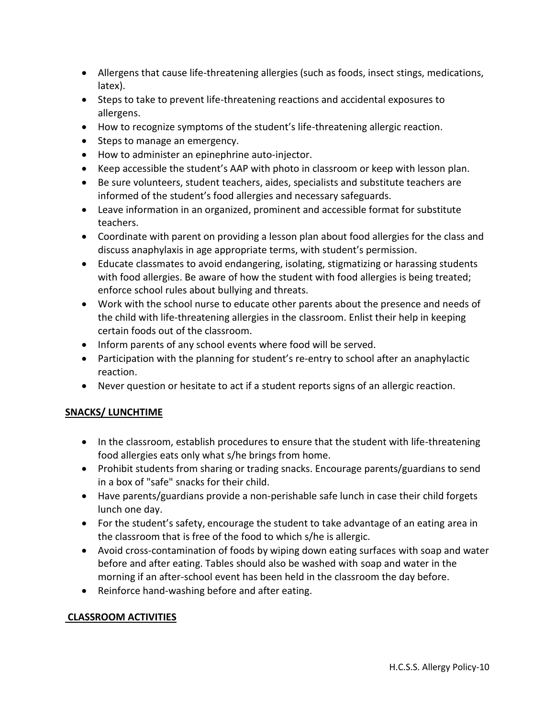- Allergens that cause life-threatening allergies (such as foods, insect stings, medications, latex).
- Steps to take to prevent life-threatening reactions and accidental exposures to allergens.
- How to recognize symptoms of the student's life-threatening allergic reaction.
- Steps to manage an emergency.
- How to administer an epinephrine auto-injector.
- Keep accessible the student's AAP with photo in classroom or keep with lesson plan.
- Be sure volunteers, student teachers, aides, specialists and substitute teachers are informed of the student's food allergies and necessary safeguards.
- Leave information in an organized, prominent and accessible format for substitute teachers.
- Coordinate with parent on providing a lesson plan about food allergies for the class and discuss anaphylaxis in age appropriate terms, with student's permission.
- Educate classmates to avoid endangering, isolating, stigmatizing or harassing students with food allergies. Be aware of how the student with food allergies is being treated; enforce school rules about bullying and threats.
- Work with the school nurse to educate other parents about the presence and needs of the child with life-threatening allergies in the classroom. Enlist their help in keeping certain foods out of the classroom.
- Inform parents of any school events where food will be served.
- Participation with the planning for student's re-entry to school after an anaphylactic reaction.
- Never question or hesitate to act if a student reports signs of an allergic reaction.

## **SNACKS/ LUNCHTIME**

- In the classroom, establish procedures to ensure that the student with life-threatening food allergies eats only what s/he brings from home.
- Prohibit students from sharing or trading snacks. Encourage parents/guardians to send in a box of "safe" snacks for their child.
- Have parents/guardians provide a non-perishable safe lunch in case their child forgets lunch one day.
- For the student's safety, encourage the student to take advantage of an eating area in the classroom that is free of the food to which s/he is allergic.
- Avoid cross-contamination of foods by wiping down eating surfaces with soap and water before and after eating. Tables should also be washed with soap and water in the morning if an after-school event has been held in the classroom the day before.
- Reinforce hand-washing before and after eating.

## **CLASSROOM ACTIVITIES**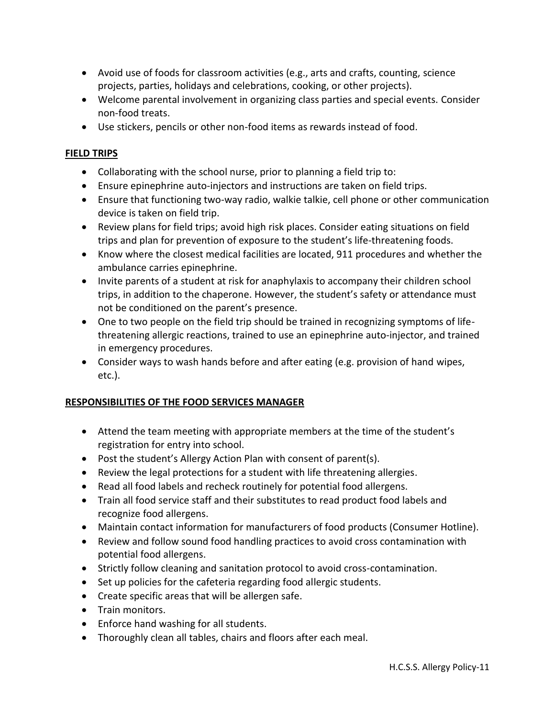- Avoid use of foods for classroom activities (e.g., arts and crafts, counting, science projects, parties, holidays and celebrations, cooking, or other projects).
- Welcome parental involvement in organizing class parties and special events. Consider non-food treats.
- Use stickers, pencils or other non-food items as rewards instead of food.

#### **FIELD TRIPS**

- Collaborating with the school nurse, prior to planning a field trip to:
- Ensure epinephrine auto-injectors and instructions are taken on field trips.
- Ensure that functioning two-way radio, walkie talkie, cell phone or other communication device is taken on field trip.
- Review plans for field trips; avoid high risk places. Consider eating situations on field trips and plan for prevention of exposure to the student's life-threatening foods.
- Know where the closest medical facilities are located, 911 procedures and whether the ambulance carries epinephrine.
- Invite parents of a student at risk for anaphylaxis to accompany their children school trips, in addition to the chaperone. However, the student's safety or attendance must not be conditioned on the parent's presence.
- One to two people on the field trip should be trained in recognizing symptoms of lifethreatening allergic reactions, trained to use an epinephrine auto-injector, and trained in emergency procedures.
- Consider ways to wash hands before and after eating (e.g. provision of hand wipes, etc.).

## **RESPONSIBILITIES OF THE FOOD SERVICES MANAGER**

- Attend the team meeting with appropriate members at the time of the student's registration for entry into school.
- Post the student's Allergy Action Plan with consent of parent(s).
- Review the legal protections for a student with life threatening allergies.
- Read all food labels and recheck routinely for potential food allergens.
- Train all food service staff and their substitutes to read product food labels and recognize food allergens.
- Maintain contact information for manufacturers of food products (Consumer Hotline).
- Review and follow sound food handling practices to avoid cross contamination with potential food allergens.
- Strictly follow cleaning and sanitation protocol to avoid cross-contamination.
- Set up policies for the cafeteria regarding food allergic students.
- Create specific areas that will be allergen safe.
- Train monitors.
- Enforce hand washing for all students.
- Thoroughly clean all tables, chairs and floors after each meal.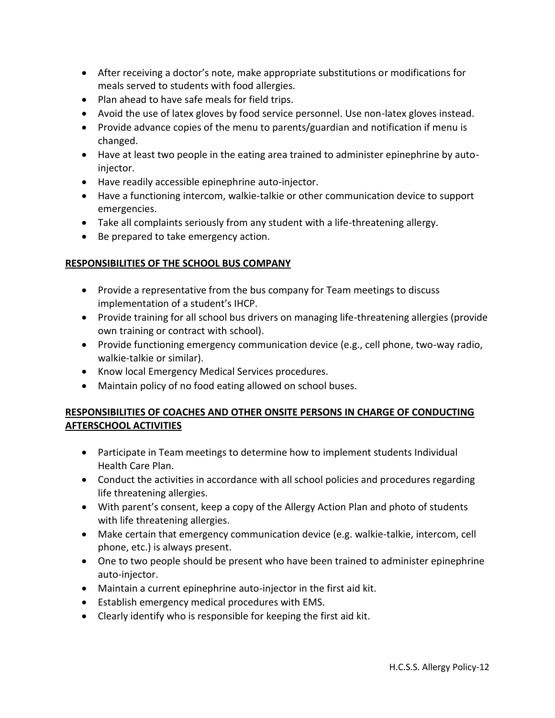- After receiving a doctor's note, make appropriate substitutions or modifications for meals served to students with food allergies.
- Plan ahead to have safe meals for field trips.
- Avoid the use of latex gloves by food service personnel. Use non-latex gloves instead.
- Provide advance copies of the menu to parents/guardian and notification if menu is changed.
- Have at least two people in the eating area trained to administer epinephrine by autoinjector.
- Have readily accessible epinephrine auto-injector.
- Have a functioning intercom, walkie-talkie or other communication device to support emergencies.
- Take all complaints seriously from any student with a life-threatening allergy.
- Be prepared to take emergency action.

## **RESPONSIBILITIES OF THE SCHOOL BUS COMPANY**

- Provide a representative from the bus company for Team meetings to discuss implementation of a student's IHCP.
- Provide training for all school bus drivers on managing life-threatening allergies (provide own training or contract with school).
- Provide functioning emergency communication device (e.g., cell phone, two-way radio, walkie-talkie or similar).
- Know local Emergency Medical Services procedures.
- Maintain policy of no food eating allowed on school buses.

# **RESPONSIBILITIES OF COACHES AND OTHER ONSITE PERSONS IN CHARGE OF CONDUCTING AFTERSCHOOL ACTIVITIES**

- Participate in Team meetings to determine how to implement students Individual Health Care Plan.
- Conduct the activities in accordance with all school policies and procedures regarding life threatening allergies.
- With parent's consent, keep a copy of the Allergy Action Plan and photo of students with life threatening allergies.
- Make certain that emergency communication device (e.g. walkie-talkie, intercom, cell phone, etc.) is always present.
- One to two people should be present who have been trained to administer epinephrine auto-injector.
- Maintain a current epinephrine auto-injector in the first aid kit.
- Establish emergency medical procedures with EMS.
- Clearly identify who is responsible for keeping the first aid kit.